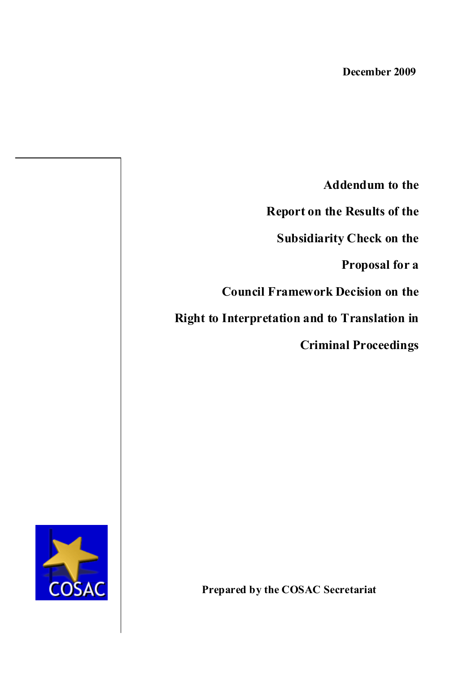**Addendum to the** 

**Report on the Results of the** 

**Subsidiarity Check on the**

**Proposal for a** 

**Council Framework Decision on the** 

**Right to Interpretation and to Translation in**

**Criminal Proceedings**

COSAC

**Prepared by the COSAC Secretariat**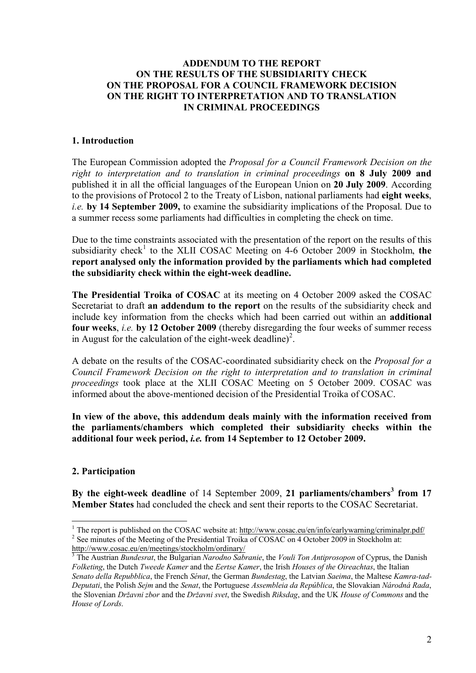### **ADDENDUM TO THE REPORT ON THE RESULTS OF THE SUBSIDIARITY CHECK ON THE PROPOSAL FOR A COUNCIL FRAMEWORK DECISION ON THE RIGHT TO INTERPRETATION AND TO TRANSLATION IN CRIMINAL PROCEEDINGS**

### **1. Introduction**

The European Commission adopted the *Proposal for a Council Framework Decision on the right to interpretation and to translation in criminal proceedings* **on 8 July 2009 and**  published it in all the official languages of the European Union on **20 July 2009**. According to the provisions of Protocol 2 to the Treaty of Lisbon, national parliaments had **eight weeks**, *i.e.* **by 14 September 2009,** to examine the subsidiarity implications of the Proposal. Due to a summer recess some parliaments had difficulties in completing the check on time.

Due to the time constraints associated with the presentation of the report on the results of this subsidiarity check<sup>1</sup> to the XLII COSAC Meeting on 4-6 October 2009 in Stockholm, the **report analysed only the information provided by the parliaments which had completed the subsidiarity check within the eight-week deadline.**

**The Presidential Troika of COSAC** at its meeting on 4 October 2009 asked the COSAC Secretariat to draft **an addendum to the report** on the results of the subsidiarity check and include key information from the checks which had been carried out within an **additional four weeks**, *i.e.* **by 12 October 2009** (thereby disregarding the four weeks of summer recess in August for the calculation of the eight-week deadline)<sup>2</sup>.

A debate on the results of the COSAC-coordinated subsidiarity check on the *Proposal for a Council Framework Decision on the right to interpretation and to translation in criminal proceedings* took place at the XLII COSAC Meeting on 5 October 2009. COSAC was informed about the above-mentioned decision of the Presidential Troika of COSAC.

**In view of the above, this addendum deals mainly with the information received from the parliaments/chambers which completed their subsidiarity checks within the additional four week period,** *i.e.* **from 14 September to 12 October 2009.**

## **2. Participation**

<u>.</u>

**By the eight-week deadline** of 14 September 2009, **21 parliaments/chambers<sup>3</sup> from 17 Member States** had concluded the check and sent their reports to the COSAC Secretariat.

<sup>&</sup>lt;sup>1</sup> The report is published on the COSAC website at: http://www.cosac.eu/en/info/earlywarning/criminalpr.pdf/ <sup>2</sup> See minutes of the Meeting of the Presidential Troika of COSAC on 4 October 2009 in Stockholm at: http://www.cosac.eu/en/meetings/stockholm/ordinary/

<sup>3</sup> The Austrian *Bundesrat*, the Bulgarian *Narodno Sabranie*, the *Vouli Ton Antiprosopon* of Cyprus, the Danish *Folketing*, the Dutch *Tweede Kamer* and the *Eertse Kamer*, the Irish *Houses of the Oireachtas*, the Italian *Senato della Repubblica*, the French *Sénat*, the German *Bundestag*, the Latvian *Saeima*, the Maltese *Kamra-tad-Deputati*, the Polish *Sejm* and the *Senat*, the Portuguese *Assembleia da República*, the Slovakian *Národná Rada*, the Slovenian *Državni zbor* and the *Državni svet*, the Swedish *Riksdag*, and the UK *House of Commons* and the *House of Lords*.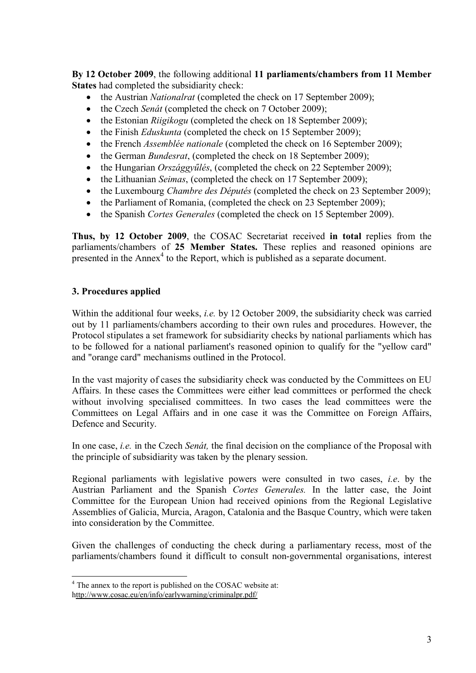**By 12 October 2009**, the following additional **11 parliaments/chambers from 11 Member States** had completed the subsidiarity check:

- the Austrian *Nationalrat* (completed the check on 17 September 2009);
- the Czech *Senát* (completed the check on 7 October 2009);
- the Estonian *Riigikogu* (completed the check on 18 September 2009);
- the Finish *Eduskunta* (completed the check on 15 September 2009);
- the French *Assemblée nationale* (completed the check on 16 September 2009);
- the German *Bundesrat*, (completed the check on 18 September 2009);
- the Hungarian *Országgyűlés*, (completed the check on 22 September 2009);
- the Lithuanian *Seimas*, (completed the check on 17 September 2009);
- the Luxembourg *Chambre des Députés* (completed the check on 23 September 2009);
- the Parliament of Romania, (completed the check on 23 September 2009);
- the Spanish *Cortes Generales* (completed the check on 15 September 2009).

**Thus, by 12 October 2009**, the COSAC Secretariat received **in total** replies from the parliaments/chambers of **25 Member States.** These replies and reasoned opinions are presented in the  $Annex<sup>4</sup>$  to the Report, which is published as a separate document.

# **3. Procedures applied**

Within the additional four weeks, *i.e.* by 12 October 2009, the subsidiarity check was carried out by 11 parliaments/chambers according to their own rules and procedures. However, the Protocol stipulates a set framework for subsidiarity checks by national parliaments which has to be followed for a national parliament's reasoned opinion to qualify for the "yellow card" and "orange card" mechanisms outlined in the Protocol.

In the vast majority of cases the subsidiarity check was conducted by the Committees on EU Affairs. In these cases the Committees were either lead committees or performed the check without involving specialised committees. In two cases the lead committees were the Committees on Legal Affairs and in one case it was the Committee on Foreign Affairs, Defence and Security.

In one case, *i.e.* in the Czech *Senát,* the final decision on the compliance of the Proposal with the principle of subsidiarity was taken by the plenary session.

Regional parliaments with legislative powers were consulted in two cases, *i.e*. by the Austrian Parliament and the Spanish *Cortes Generales.* In the latter case, the Joint Committee for the European Union had received opinions from the Regional Legislative Assemblies of Galicia, Murcia, Aragon, Catalonia and the Basque Country, which were taken into consideration by the Committee.

Given the challenges of conducting the check during a parliamentary recess, most of the parliaments/chambers found it difficult to consult non-governmental organisations, interest

1

<sup>&</sup>lt;sup>4</sup> The annex to the report is published on the COSAC website at:

http://www.cosac.eu/en/info/earlywarning/criminalpr.pdf/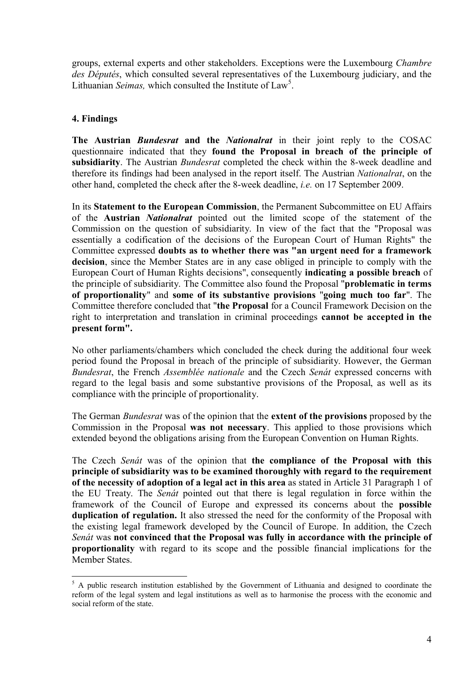groups, external experts and other stakeholders. Exceptions were the Luxembourg *Chambre des Députés*, which consulted several representatives of the Luxembourg judiciary, and the Lithuanian *Seimas*, which consulted the Institute of Law<sup>5</sup>.

# **4. Findings**

1

**The Austrian** *Bundesrat* **and the** *Nationalrat* in their joint reply to the COSAC questionnaire indicated that they **found the Proposal in breach of the principle of subsidiarity**. The Austrian *Bundesrat* completed the check within the 8-week deadline and therefore its findings had been analysed in the report itself. The Austrian *Nationalrat*, on the other hand, completed the check after the 8-week deadline, *i.e.* on 17 September 2009.

In its **Statement to the European Commission**, the Permanent Subcommittee on EU Affairs of the **Austrian** *Nationalrat* pointed out the limited scope of the statement of the Commission on the question of subsidiarity. In view of the fact that the "Proposal was essentially a codification of the decisions of the European Court of Human Rights" the Committee expressed **doubts as to whether there was "an urgent need for a framework decision**, since the Member States are in any case obliged in principle to comply with the European Court of Human Rights decisions", consequently **indicating a possible breach** of the principle of subsidiarity. The Committee also found the Proposal "**problematic in terms of proportionality**" and **some of its substantive provisions** "**going much too far**". The Committee therefore concluded that "**the Proposal** for a Council Framework Decision on the right to interpretation and translation in criminal proceedings **cannot be accepted in the present form".** 

No other parliaments/chambers which concluded the check during the additional four week period found the Proposal in breach of the principle of subsidiarity. However, the German *Bundesrat*, the French *Assemblée nationale* and the Czech *Senát* expressed concerns with regard to the legal basis and some substantive provisions of the Proposal, as well as its compliance with the principle of proportionality.

The German *Bundesrat* was of the opinion that the **extent of the provisions** proposed by the Commission in the Proposal **was not necessary**. This applied to those provisions which extended beyond the obligations arising from the European Convention on Human Rights.

The Czech *Senát* was of the opinion that **the compliance of the Proposal with this principle of subsidiarity was to be examined thoroughly with regard to the requirement of the necessity of adoption of a legal act in this area** as stated in Article 31 Paragraph 1 of the EU Treaty. The *Senát* pointed out that there is legal regulation in force within the framework of the Council of Europe and expressed its concerns about the **possible duplication of regulation.** It also stressed the need for the conformity of the Proposal with the existing legal framework developed by the Council of Europe. In addition, the Czech *Senát* was **not convinced that the Proposal was fully in accordance with the principle of proportionality** with regard to its scope and the possible financial implications for the Member States.

<sup>&</sup>lt;sup>5</sup> A public research institution established by the Government of Lithuania and designed to coordinate the reform of the legal system and legal institutions as well as to harmonise the process with the economic and social reform of the state.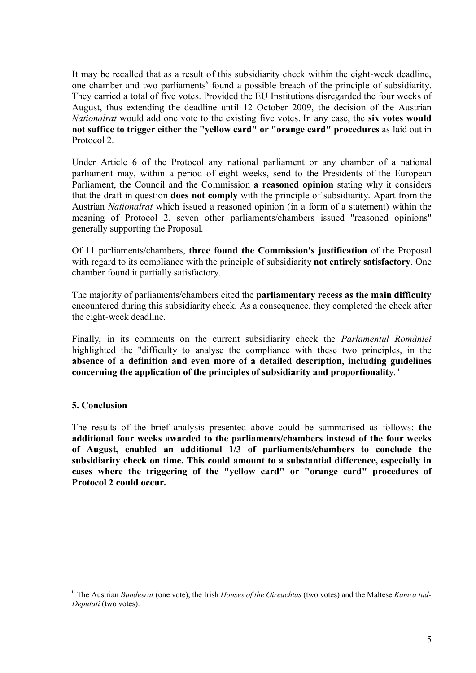It may be recalled that as a result of this subsidiarity check within the eight-week deadline, one chamber and two parliaments<sup>6</sup> found a possible breach of the principle of subsidiarity. They carried a total of five votes. Provided the EU Institutions disregarded the four weeks of August, thus extending the deadline until 12 October 2009, the decision of the Austrian *Nationalrat* would add one vote to the existing five votes. In any case, the **six votes would not suffice to trigger either the "yellow card" or "orange card" procedures** as laid out in Protocol 2.

Under Article 6 of the Protocol any national parliament or any chamber of a national parliament may, within a period of eight weeks, send to the Presidents of the European Parliament, the Council and the Commission **a reasoned opinion** stating why it considers that the draft in question **does not comply** with the principle of subsidiarity. Apart from the Austrian *Nationalrat* which issued a reasoned opinion (in a form of a statement) within the meaning of Protocol 2, seven other parliaments/chambers issued "reasoned opinions" generally supporting the Proposal.

Of 11 parliaments/chambers, **three found the Commission's justification** of the Proposal with regard to its compliance with the principle of subsidiarity **not entirely satisfactory**. One chamber found it partially satisfactory.

The majority of parliaments/chambers cited the **parliamentary recess as the main difficulty** encountered during this subsidiarity check. As a consequence, they completed the check after the eight-week deadline.

Finally, in its comments on the current subsidiarity check the *Parlamentul României* highlighted the "difficulty to analyse the compliance with these two principles, in the **absence of a definition and even more of a detailed description, including guidelines concerning the application of the principles of subsidiarity and proportionalit**y."

#### **5. Conclusion**

<u>.</u>

The results of the brief analysis presented above could be summarised as follows: **the additional four weeks awarded to the parliaments/chambers instead of the four weeks of August, enabled an additional 1/3 of parliaments/chambers to conclude the subsidiarity check on time. This could amount to a substantial difference, especially in cases where the triggering of the "yellow card" or "orange card" procedures of Protocol 2 could occur.** 

<sup>6</sup> The Austrian *Bundesrat* (one vote), the Irish *Houses of the Oireachtas* (two votes) and the Maltese *Kamra tad-Deputati* (two votes).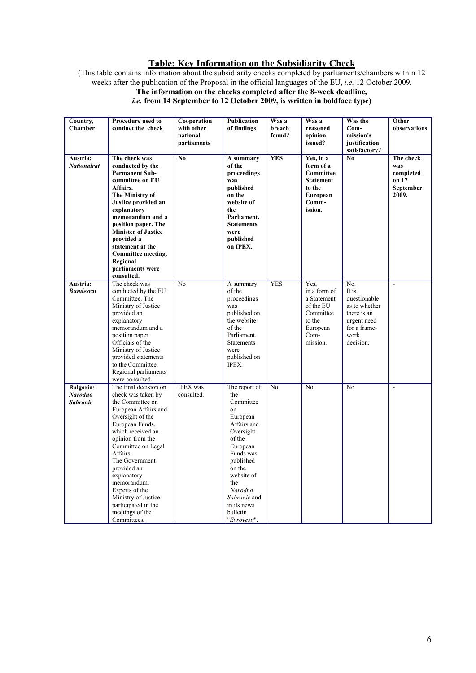#### **Table: Key Information on the Subsidiarity Check**

(This table contains information about the subsidiarity checks completed by parliaments/chambers within 12 weeks after the publication of the Proposal in the official languages of the EU, *i.e.* 12 October 2009.

# **The information on the checks completed after the 8-week deadline,**

*i.e.* **from 14 September to 12 October 2009, is written in boldface type)**

| Country,<br><b>Chamber</b><br>Austria:         | Procedure used to<br>conduct the check<br>The check was                                                                                                                                                                                                                                                                                                                    | Cooperation<br>with other<br>national<br>parliaments<br>$\mathbf{N}\mathbf{0}$ | <b>Publication</b><br>of findings<br>A summary                                                                                                                                                                                       | Was a<br>breach<br>found?<br><b>YES</b> | Was a<br>reasoned<br>opinion<br>issued?<br>Yes, in a                                                    | Was the<br>Com-<br>mission's<br>justification<br>satisfactory?<br>$\bf No$                                       | Other<br>observations<br>The check              |
|------------------------------------------------|----------------------------------------------------------------------------------------------------------------------------------------------------------------------------------------------------------------------------------------------------------------------------------------------------------------------------------------------------------------------------|--------------------------------------------------------------------------------|--------------------------------------------------------------------------------------------------------------------------------------------------------------------------------------------------------------------------------------|-----------------------------------------|---------------------------------------------------------------------------------------------------------|------------------------------------------------------------------------------------------------------------------|-------------------------------------------------|
| <b>Nationalrat</b>                             | conducted by the<br><b>Permanent Sub-</b><br>committee on EU<br>Affairs.<br>The Ministry of<br>Justice provided an<br>explanatory<br>memorandum and a<br>position paper. The<br><b>Minister of Justice</b><br>provided a<br>statement at the<br>Committee meeting.<br>Regional<br>parliaments were<br>consulted.                                                           |                                                                                | of the<br>proceedings<br>was<br>published<br>on the<br>website of<br>the<br>Parliament.<br><b>Statements</b><br>were<br>published<br>on IPEX.                                                                                        |                                         | form of a<br>Committee<br><b>Statement</b><br>to the<br>European<br>Comm-<br>ission.                    |                                                                                                                  | was<br>completed<br>on 17<br>September<br>2009. |
| Austria:<br><b>Bundesrat</b>                   | The check was<br>conducted by the EU<br>Committee. The<br>Ministry of Justice<br>provided an<br>explanatory<br>memorandum and a<br>position paper.<br>Officials of the<br>Ministry of Justice<br>provided statements<br>to the Committee.<br>Regional parliaments<br>were consulted.                                                                                       | N <sub>0</sub>                                                                 | A summary<br>of the<br>proceedings<br>was<br>published on<br>the website<br>of the<br>Parliament.<br><b>Statements</b><br>were<br>published on<br>IPEX.                                                                              | <b>YES</b>                              | Yes.<br>in a form of<br>a Statement<br>of the EU<br>Committee<br>to the<br>European<br>Com-<br>mission. | No.<br>It is<br>questionable<br>as to whether<br>there is an<br>urgent need<br>for a frame-<br>work<br>decision. |                                                 |
| Bulgaria:<br><b>Narodno</b><br><b>Sabranie</b> | The final decision on<br>check was taken by<br>the Committee on<br>European Affairs and<br>Oversight of the<br>European Funds,<br>which received an<br>opinion from the<br>Committee on Legal<br>Affairs.<br>The Government<br>provided an<br>explanatory<br>memorandum.<br>Experts of the<br>Ministry of Justice<br>participated in the<br>meetings of the<br>Committees. | <b>IPEX</b> was<br>consulted.                                                  | The report of<br>the<br>Committee<br>on<br>European<br>Affairs and<br>Oversight<br>of the<br>European<br>Funds was<br>published<br>on the<br>website of<br>the<br>Narodno<br>Sabranie and<br>in its news<br>bulletin<br>"Evrovesti". | N <sub>o</sub>                          | No                                                                                                      | No                                                                                                               |                                                 |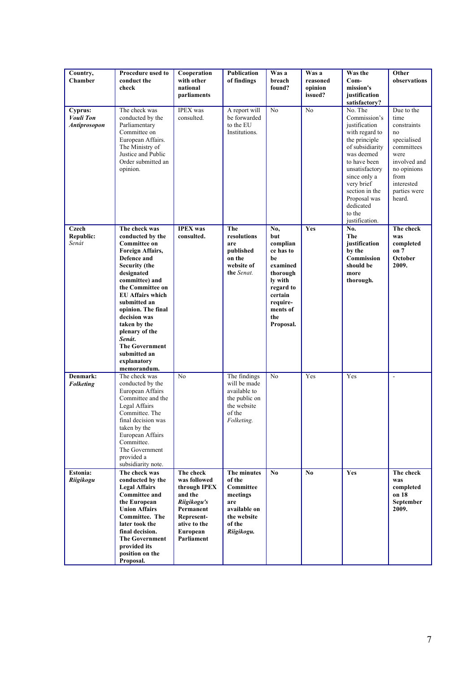| Country,<br><b>Chamber</b>                  | Procedure used to<br>conduct the<br>check                                                                                                                                                                                                                                                                                                                                   | Cooperation<br>with other<br>national<br>parliaments                                                                                     | Publication<br>of findings                                                                                   | Was a<br>breach<br>found?                                                                                                                        | Was a<br>reasoned<br>opinion<br>issued? | <b>Was the</b><br>$Com-$<br>mission's<br>justification<br>satisfactory?                                                                                                                                                                                 | Other<br>observations                                                                                                                                       |
|---------------------------------------------|-----------------------------------------------------------------------------------------------------------------------------------------------------------------------------------------------------------------------------------------------------------------------------------------------------------------------------------------------------------------------------|------------------------------------------------------------------------------------------------------------------------------------------|--------------------------------------------------------------------------------------------------------------|--------------------------------------------------------------------------------------------------------------------------------------------------|-----------------------------------------|---------------------------------------------------------------------------------------------------------------------------------------------------------------------------------------------------------------------------------------------------------|-------------------------------------------------------------------------------------------------------------------------------------------------------------|
| Cyprus:<br>Vouli Ton<br><b>Antiprosopon</b> | The check was<br>conducted by the<br>Parliamentary<br>Committee on<br>European Affairs.<br>The Ministry of<br>Justice and Public<br>Order submitted an<br>opinion.                                                                                                                                                                                                          | <b>IPEX</b> was<br>consulted.                                                                                                            | A report will<br>be forwarded<br>to the EU<br>Institutions.                                                  | $\overline{No}$                                                                                                                                  | No                                      | No. The<br>Commission's<br>justification<br>with regard to<br>the principle<br>of subsidiarity<br>was deemed<br>to have been<br>unsatisfactory<br>since only a<br>very brief<br>section in the<br>Proposal was<br>dedicated<br>to the<br>justification. | Due to the<br>time<br>constraints<br>no<br>specialised<br>committees<br>were<br>involved and<br>no opinions<br>from<br>interested<br>parties were<br>heard. |
| Czech<br>Republic:<br>Senát                 | The check was<br>conducted by the<br><b>Committee on</b><br>Foreign Affairs,<br>Defence and<br><b>Security</b> (the<br>designated<br>committee) and<br>the Committee on<br><b>EU Affairs which</b><br>submitted an<br>opinion. The final<br>decision was<br>taken by the<br>plenary of the<br>Senát.<br><b>The Government</b><br>submitted an<br>explanatory<br>memorandum. | <b>IPEX</b> was<br>consulted.                                                                                                            | The<br>resolutions<br>are<br>published<br>on the<br>website of<br>the Senat.                                 | No,<br>but<br>complian<br>ce has to<br>be<br>examined<br>thorough<br>ly with<br>regard to<br>certain<br>require-<br>ments of<br>the<br>Proposal. | Yes                                     | No.<br>The<br>justification<br>by the<br>Commission<br>should be<br>more<br>thorough.                                                                                                                                                                   | The check<br>was<br>completed<br>on 7<br>October<br>2009.                                                                                                   |
| Denmark:<br><b>Folketing</b>                | The check was<br>conducted by the<br>European Affairs<br>Committee and the<br>Legal Affairs<br>Committee. The<br>final decision was<br>taken by the<br>European Affairs<br>Committee.<br>The Government<br>provided a<br>subsidiarity note.                                                                                                                                 | No                                                                                                                                       | The findings<br>will be made<br>available to<br>the public on<br>the website<br>of the<br>Folketing.         | N <sub>0</sub>                                                                                                                                   | Yes                                     | Yes                                                                                                                                                                                                                                                     |                                                                                                                                                             |
| Estonia:<br>Riigikogu                       | The check was<br>conducted by the<br><b>Legal Affairs</b><br><b>Committee and</b><br>the European<br><b>Union Affairs</b><br><b>Committee. The</b><br>later took the<br>final decision.<br><b>The Government</b><br>provided its<br>position on the<br>Proposal.                                                                                                            | The check<br>was followed<br>through IPEX<br>and the<br>Riigikogu's<br>Permanent<br>Represent-<br>ative to the<br>European<br>Parliament | The minutes<br>of the<br>Committee<br>meetings<br>are<br>available on<br>the website<br>of the<br>Riigikogu. | $\mathbf{N}\mathbf{0}$                                                                                                                           | $\bf No$                                | Yes                                                                                                                                                                                                                                                     | The check<br>was<br>completed<br>on 18<br>September<br>2009.                                                                                                |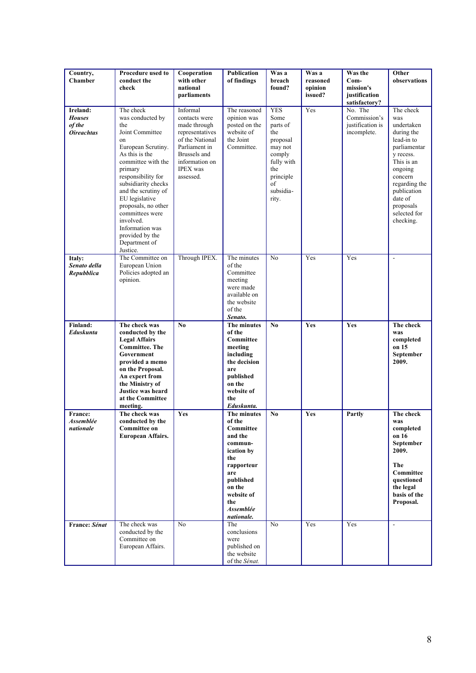| Country,                                                 | Procedure used to                                                                                                                                                                                                                                                                                                                                      | Cooperation                                                                                                                                                        | <b>Publication</b>                                                                                                                                                               | Was a                                                                                                                                | Was a                          | Was the                                                    | Other                                                                                                                                                                                                            |
|----------------------------------------------------------|--------------------------------------------------------------------------------------------------------------------------------------------------------------------------------------------------------------------------------------------------------------------------------------------------------------------------------------------------------|--------------------------------------------------------------------------------------------------------------------------------------------------------------------|----------------------------------------------------------------------------------------------------------------------------------------------------------------------------------|--------------------------------------------------------------------------------------------------------------------------------------|--------------------------------|------------------------------------------------------------|------------------------------------------------------------------------------------------------------------------------------------------------------------------------------------------------------------------|
| Chamber                                                  | conduct the<br>check                                                                                                                                                                                                                                                                                                                                   | with other<br>national<br>parliaments                                                                                                                              | of findings                                                                                                                                                                      | breach<br>found?                                                                                                                     | reasoned<br>opinion<br>issued? | $Com-$<br>mission's<br>justification<br>satisfactory?      | observations                                                                                                                                                                                                     |
| Ireland:<br><b>Houses</b><br>of the<br><b>Oireachtas</b> | The check<br>was conducted by<br>the<br>Joint Committee<br>on<br>European Scrutiny.<br>As this is the<br>committee with the<br>primary<br>responsibility for<br>subsidiarity checks<br>and the scrutiny of<br>EU legislative<br>proposals, no other<br>committees were<br>involved.<br>Information was<br>provided by the<br>Department of<br>Justice. | Informal<br>contacts were<br>made through<br>representatives<br>of the National<br>Parliament in<br>Brussels and<br>information on<br><b>IPEX</b> was<br>assessed. | The reasoned<br>opinion was<br>posted on the<br>website of<br>the Joint<br>Committee.                                                                                            | <b>YES</b><br>Some<br>parts of<br>the<br>proposal<br>may not<br>comply<br>fully with<br>the<br>principle<br>of<br>subsidia-<br>rity. | Yes                            | No. The<br>Commission's<br>justification is<br>incomplete. | The check<br>was<br>undertaken<br>during the<br>lead-in to<br>parliamentar<br>y recess.<br>This is an<br>ongoing<br>concern<br>regarding the<br>publication<br>date of<br>proposals<br>selected for<br>checking. |
| Italy:<br>Senato della<br>Repubblica                     | The Committee on<br>European Union<br>Policies adopted an<br>opinion.                                                                                                                                                                                                                                                                                  | Through IPEX.                                                                                                                                                      | The minutes<br>of the<br>Committee<br>meeting<br>were made<br>available on<br>the website<br>of the<br>Senato.                                                                   | N <sub>0</sub>                                                                                                                       | Yes                            | Yes                                                        | $\overline{a}$                                                                                                                                                                                                   |
| Finland:<br>Eduskunta                                    | The check was<br>conducted by the<br><b>Legal Affairs</b><br><b>Committee. The</b><br>Government<br>provided a memo<br>on the Proposal.<br>An expert from<br>the Ministry of<br>Justice was heard<br>at the Committee<br>meeting.                                                                                                                      | $\mathbf{N}\mathbf{0}$                                                                                                                                             | The minutes<br>of the<br>Committee<br>meeting<br>including<br>the decision<br>are<br>published<br>on the<br>website of<br>the<br>Eduskunta.                                      | No                                                                                                                                   | Yes                            | Yes                                                        | The check<br>was<br>completed<br>on 15<br>September<br>2009.                                                                                                                                                     |
| France:<br><b>Assemblée</b><br>nationale                 | The check was<br>conducted by the<br><b>Committee on</b><br><b>European Affairs.</b>                                                                                                                                                                                                                                                                   | Yes                                                                                                                                                                | The minutes<br>of the<br>Committee<br>and the<br>commun-<br>ication by<br>the<br>rapporteur<br>are<br>published<br>on the<br>website of<br>the<br><b>Assemblée</b><br>nationale. | N <sub>0</sub>                                                                                                                       | Yes                            | Partly                                                     | The check<br>was<br>completed<br>on 16<br>September<br>2009.<br>The<br><b>Committee</b><br>questioned<br>the legal<br>basis of the<br>Proposal.                                                                  |
| France: Sénat                                            | The check was<br>conducted by the<br>Committee on<br>European Affairs.                                                                                                                                                                                                                                                                                 | N <sub>0</sub>                                                                                                                                                     | The<br>conclusions<br>were<br>published on<br>the website<br>of the Sénat.                                                                                                       | No                                                                                                                                   | Yes                            | Yes                                                        | $\blacksquare$                                                                                                                                                                                                   |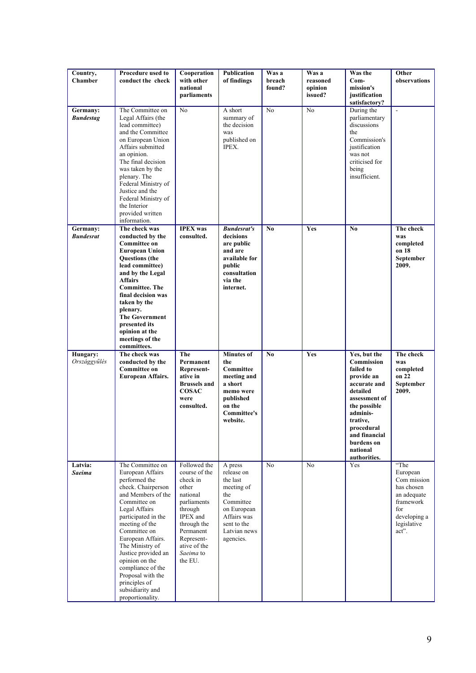| Country,<br><b>Chamber</b>   | Procedure used to<br>conduct the check                                                                                                                                                                                                                                                                                                                                          | Cooperation<br>with other<br>national                                                                                                                                                  | Publication<br>of findings                                                                                                                    | Was a<br>breach<br>found? | Was a<br>reasoned<br>opinion | Was the<br>$Com-$<br>mission's                                                                                                                                                                                             | Other<br>observations                                                                                                    |
|------------------------------|---------------------------------------------------------------------------------------------------------------------------------------------------------------------------------------------------------------------------------------------------------------------------------------------------------------------------------------------------------------------------------|----------------------------------------------------------------------------------------------------------------------------------------------------------------------------------------|-----------------------------------------------------------------------------------------------------------------------------------------------|---------------------------|------------------------------|----------------------------------------------------------------------------------------------------------------------------------------------------------------------------------------------------------------------------|--------------------------------------------------------------------------------------------------------------------------|
|                              |                                                                                                                                                                                                                                                                                                                                                                                 | parliaments                                                                                                                                                                            |                                                                                                                                               |                           | issued?                      | justification<br>satisfactory?                                                                                                                                                                                             |                                                                                                                          |
| Germany:<br><b>Bundestag</b> | The Committee on<br>Legal Affairs (the<br>lead committee)<br>and the Committee<br>on European Union<br>Affairs submitted<br>an opinion.<br>The final decision<br>was taken by the<br>plenary. The<br>Federal Ministry of<br>Justice and the<br>Federal Ministry of<br>the Interior<br>provided written<br>information.                                                          | N <sub>0</sub>                                                                                                                                                                         | A short<br>summary of<br>the decision<br>was<br>published on<br>IPEX.                                                                         | No                        | N <sub>0</sub>               | During the<br>parliamentary<br>discussions<br>the<br>Commission's<br>justification<br>was not<br>criticised for<br>being<br>insufficient.                                                                                  | $\blacksquare$                                                                                                           |
| Germany:<br><b>Bundesrat</b> | The check was<br>conducted by the<br><b>Committee on</b><br><b>European Union</b><br><b>Questions</b> (the<br>lead committee)<br>and by the Legal<br><b>Affairs</b><br><b>Committee</b> . The<br>final decision was<br>taken by the<br>plenary.<br><b>The Government</b><br>presented its<br>opinion at the<br>meetings of the<br>committees.                                   | <b>IPEX</b> was<br>consulted.                                                                                                                                                          | <b>Bundesrat's</b><br>decisions<br>are public<br>and are<br>available for<br>public<br>consultation<br>via the<br>internet.                   | N <sub>0</sub>            | Yes                          | N <sub>0</sub>                                                                                                                                                                                                             | The check<br>was<br>completed<br>on 18<br>September<br>2009.                                                             |
| Hungary:<br>Országgyűlés     | The check was<br>conducted by the<br><b>Committee on</b><br><b>European Affairs.</b>                                                                                                                                                                                                                                                                                            | The<br>Permanent<br>Represent-<br>ative in<br><b>Brussels and</b><br><b>COSAC</b><br>were<br>consulted.                                                                                | <b>Minutes of</b><br>the<br>Committee<br>meeting and<br>a short<br>memo were<br>published<br>on the<br><b>Committee's</b><br>website.         | N <sub>0</sub>            | Yes                          | Yes, but the<br><b>Commission</b><br>failed to<br>provide an<br>accurate and<br>detailed<br>assessment of<br>the possible<br>adminis-<br>trative,<br>procedural<br>and financial<br>burdens on<br>national<br>authorities. | The check<br>was<br>completed<br>on 22<br>September<br>2009.                                                             |
| Latvia:<br>Saeima            | The Committee on<br>European Affairs<br>performed the<br>check. Chairperson<br>and Members of the<br>Committee on<br>Legal Affairs<br>participated in the<br>meeting of the<br>Committee on<br>European Affairs.<br>The Ministry of<br>Justice provided an<br>opinion on the<br>compliance of the<br>Proposal with the<br>principles of<br>subsidiarity and<br>proportionality. | Followed the<br>course of the<br>check in<br>other<br>national<br>parliaments<br>through<br>IPEX and<br>through the<br>Permanent<br>Represent-<br>ative of the<br>Saeima to<br>the EU. | A press<br>release on<br>the last<br>meeting of<br>the<br>Committee<br>on European<br>Affairs was<br>sent to the<br>Latvian news<br>agencies. | No                        | No                           | Yes                                                                                                                                                                                                                        | "The<br>European<br>Com mission<br>has chosen<br>an adequate<br>framework<br>for<br>developing a<br>legislative<br>act". |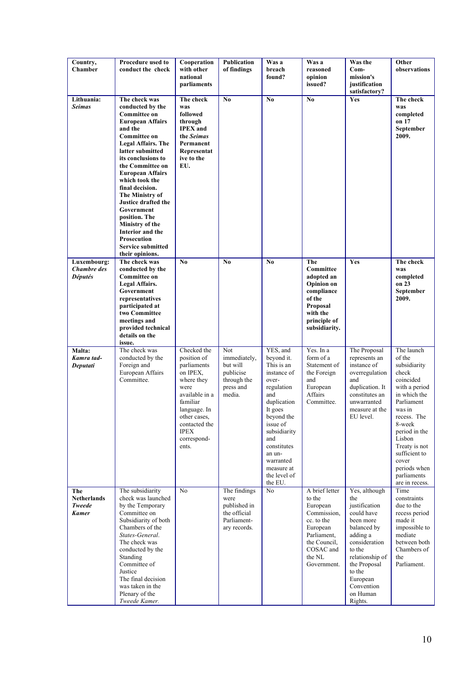| Country,<br>Chamber                                 | Procedure used to<br>conduct the check                                                                                                                                                                                                                                                                                                                                                                                                                                | Cooperation<br>with other<br>national<br>parliaments                                                                                                                                              | Publication<br>of findings                                                          | Was a<br>breach<br>found?                                                                                                                                                                                                                   | Was a<br>reasoned<br>opinion<br>issued?                                                                                                            | Was the<br>$Com-$<br>mission's<br>justification<br>satisfactory?                                                                                                                                                     | Other<br>observations                                                                                                                                                                                                                                               |
|-----------------------------------------------------|-----------------------------------------------------------------------------------------------------------------------------------------------------------------------------------------------------------------------------------------------------------------------------------------------------------------------------------------------------------------------------------------------------------------------------------------------------------------------|---------------------------------------------------------------------------------------------------------------------------------------------------------------------------------------------------|-------------------------------------------------------------------------------------|---------------------------------------------------------------------------------------------------------------------------------------------------------------------------------------------------------------------------------------------|----------------------------------------------------------------------------------------------------------------------------------------------------|----------------------------------------------------------------------------------------------------------------------------------------------------------------------------------------------------------------------|---------------------------------------------------------------------------------------------------------------------------------------------------------------------------------------------------------------------------------------------------------------------|
| Lithuania:<br><b>Seimas</b>                         | The check was<br>conducted by the<br><b>Committee on</b><br><b>European Affairs</b><br>and the<br><b>Committee on</b><br><b>Legal Affairs. The</b><br>latter submitted<br>its conclusions to<br>the Committee on<br><b>European Affairs</b><br>which took the<br>final decision.<br>The Ministry of<br>Justice drafted the<br>Government<br>position. The<br>Ministry of the<br>Interior and the<br><b>Prosecution</b><br><b>Service submitted</b><br>their opinions. | The check<br>was<br>followed<br>through<br><b>IPEX</b> and<br>the Seimas<br>Permanent<br>Representat<br>ive to the<br>EU.                                                                         | N <sub>0</sub>                                                                      | No                                                                                                                                                                                                                                          | N <sub>0</sub>                                                                                                                                     | Yes                                                                                                                                                                                                                  | The check<br>was<br>completed<br>on 17<br>September<br>2009.                                                                                                                                                                                                        |
| Luxembourg:<br><b>Chambre</b> des<br><b>Députés</b> | The check was<br>conducted by the<br><b>Committee on</b><br>Legal Affairs.<br>Government<br>representatives<br>participated at<br>two Committee<br>meetings and<br>provided technical<br>details on the<br>issue.                                                                                                                                                                                                                                                     | No                                                                                                                                                                                                | N <sub>0</sub>                                                                      | N <sub>0</sub>                                                                                                                                                                                                                              | The<br>Committee<br>adopted an<br><b>Opinion</b> on<br>compliance<br>of the<br>Proposal<br>with the<br>principle of<br>subsidiarity.               | Yes                                                                                                                                                                                                                  | The check<br>was<br>completed<br>on 23<br>September<br>2009.                                                                                                                                                                                                        |
| Malta:<br>Kamra tad-<br>Deputati                    | The check was<br>conducted by the<br>Foreign and<br>European Affairs<br>Committee.                                                                                                                                                                                                                                                                                                                                                                                    | Checked the<br>position of<br>parliaments<br>on IPEX,<br>where they<br>were<br>available in a<br>familiar<br>language. In<br>other cases,<br>contacted the<br><b>IPEX</b><br>correspond-<br>ents. | Not<br>immediately,<br>but will<br>publicise<br>through the<br>press and<br>media.  | YES, and<br>beyond it.<br>This is an<br>instance of<br>over-<br>regulation<br>and<br>duplication<br>It goes<br>beyond the<br>issue of<br>subsidiarity<br>and<br>constitutes<br>an un-<br>warranted<br>measure at<br>the level of<br>the EU. | Yes. In a<br>form of a<br>Statement of<br>the Foreign<br>and<br>European<br>Affairs<br>Committee.                                                  | The Proposal<br>represents an<br>instance of<br>overregulation<br>and<br>duplication. It<br>constitutes an<br>unwarranted<br>measure at the<br>EU level.                                                             | The launch<br>of the<br>subsidiarity<br>check<br>coincided<br>with a period<br>in which the<br>Parliament<br>was in<br>recess. The<br>8-week<br>period in the<br>Lisbon<br>Treaty is not<br>sufficient to<br>cover<br>periods when<br>parliaments<br>are in recess. |
| The<br>Netherlands<br><b>Tweede</b><br>Kamer        | The subsidiarity<br>check was launched<br>by the Temporary<br>Committee on<br>Subsidiarity of both<br>Chambers of the<br>States-General.<br>The check was<br>conducted by the<br>Standing<br>Committee of<br>Justice<br>The final decision<br>was taken in the<br>Plenary of the<br>Tweede Kamer.                                                                                                                                                                     | N <sub>0</sub>                                                                                                                                                                                    | The findings<br>were<br>published in<br>the official<br>Parliament-<br>ary records. | No                                                                                                                                                                                                                                          | A brief letter<br>to the<br>European<br>Commission.<br>cc. to the<br>European<br>Parliament,<br>the Council,<br>COSAC and<br>the NL<br>Government. | Yes, although<br>the<br>justification<br>could have<br>been more<br>balanced by<br>adding a<br>consideration<br>to the<br>relationship of<br>the Proposal<br>to the<br>European<br>Convention<br>on Human<br>Rights. | Time<br>constraints<br>due to the<br>recess period<br>made it<br>impossible to<br>mediate<br>between both<br>Chambers of<br>the<br>Parliament.                                                                                                                      |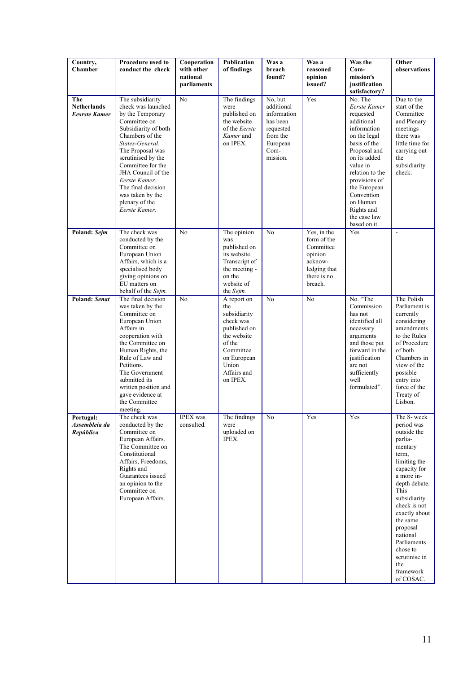| Country,<br><b>Chamber</b>                        | Procedure used to<br>conduct the check                                                                                                                                                                                                                                                                                      | Cooperation<br>with other<br>national<br>parliaments | Publication<br>of findings                                                                                                                               | Was a<br>breach<br>found?                                                                                 | Was a<br>reasoned<br>opinion<br>issued?                                                                 | Was the<br>$Com-$<br>mission's<br>justification                                                                                                                                                                                                                                            | Other<br>observations                                                                                                                                                                                                                                                                                            |
|---------------------------------------------------|-----------------------------------------------------------------------------------------------------------------------------------------------------------------------------------------------------------------------------------------------------------------------------------------------------------------------------|------------------------------------------------------|----------------------------------------------------------------------------------------------------------------------------------------------------------|-----------------------------------------------------------------------------------------------------------|---------------------------------------------------------------------------------------------------------|--------------------------------------------------------------------------------------------------------------------------------------------------------------------------------------------------------------------------------------------------------------------------------------------|------------------------------------------------------------------------------------------------------------------------------------------------------------------------------------------------------------------------------------------------------------------------------------------------------------------|
| The<br><b>Netherlands</b><br><b>Eesrste Kamer</b> | The subsidiarity<br>check was launched<br>by the Temporary<br>Committee on<br>Subsidiarity of both<br>Chambers of the<br>States-General.<br>The Proposal was<br>scrutinised by the<br>Committee for the<br>JHA Council of the<br>Eerste Kamer.<br>The final decision<br>was taken by the<br>plenary of the<br>Eerste Kamer. | N <sub>o</sub>                                       | The findings<br>were<br>published on<br>the website<br>of the Eerste<br>Kamer and<br>on IPEX.                                                            | No, but<br>additional<br>information<br>has been<br>requested<br>from the<br>European<br>Com-<br>mission. | Yes                                                                                                     | satisfactory?<br>No. The<br>Eerste Kamer<br>requested<br>additional<br>information<br>on the legal<br>basis of the<br>Proposal and<br>on its added<br>value in<br>relation to the<br>provisions of<br>the European<br>Convention<br>on Human<br>Rights and<br>the case law<br>based on it. | Due to the<br>start of the<br>Committee<br>and Plenary<br>meetings<br>there was<br>little time for<br>carrying out<br>the<br>subsidiarity<br>check.                                                                                                                                                              |
| Poland: Sejm                                      | The check was<br>conducted by the<br>Committee on<br>European Union<br>Affairs, which is a<br>specialised body<br>giving opinions on<br>EU matters on<br>behalf of the Sejm.                                                                                                                                                | N <sub>o</sub>                                       | The opinion<br>was<br>published on<br>its website.<br>Transcript of<br>the meeting -<br>on the<br>website of<br>the Sejm.                                | N <sub>0</sub>                                                                                            | Yes, in the<br>form of the<br>Committee<br>opinion<br>acknow-<br>ledging that<br>there is no<br>breach. | Yes                                                                                                                                                                                                                                                                                        | ÷,                                                                                                                                                                                                                                                                                                               |
| <b>Poland: Senat</b>                              | The final decision<br>was taken by the<br>Committee on<br>European Union<br>Affairs in<br>cooperation with<br>the Committee on<br>Human Rights, the<br>Rule of Law and<br>Petitions.<br>The Government<br>submitted its<br>written position and<br>gave evidence at<br>the Committee<br>meeting.                            | N <sub>o</sub>                                       | A report on<br>the<br>subsidiarity<br>check was<br>published on<br>the website<br>of the<br>Committee<br>on European<br>Union<br>Affairs and<br>on IPEX. | N <sub>0</sub>                                                                                            | N <sub>0</sub>                                                                                          | No. "The<br>Commission<br>has not<br>identified all<br>necessary<br>arguments<br>and those put<br>forward in the<br>justification<br>are not<br>sufficiently<br>well<br>formulated".                                                                                                       | The Polish<br>Parliament is<br>currently<br>considering<br>amendments<br>to the Rules<br>of Procedure<br>of both<br>Chambers in<br>view of the<br>possible<br>entry into<br>force of the<br>Treaty of<br>Lisbon.                                                                                                 |
| Portugal:<br>Assembleia da<br>República           | The check was<br>conducted by the<br>Committee on<br>European Affairs.<br>The Committee on<br>Constitutional<br>Affairs, Freedoms,<br>Rights and<br>Guarantees issued<br>an opinion to the<br>Committee on<br>European Affairs.                                                                                             | <b>IPEX</b> was<br>consulted.                        | The findings<br>were<br>uploaded on<br>IPEX.                                                                                                             | No                                                                                                        | Yes                                                                                                     | Yes                                                                                                                                                                                                                                                                                        | The 8- week<br>period was<br>outside the<br>parlia-<br>mentary<br>term,<br>limiting the<br>capacity for<br>a more in-<br>depth debate.<br>This<br>subsidiarity<br>check is not<br>exactly about<br>the same<br>proposal<br>national<br>Parliaments<br>chose to<br>scrutinise in<br>the<br>framework<br>of COSAC. |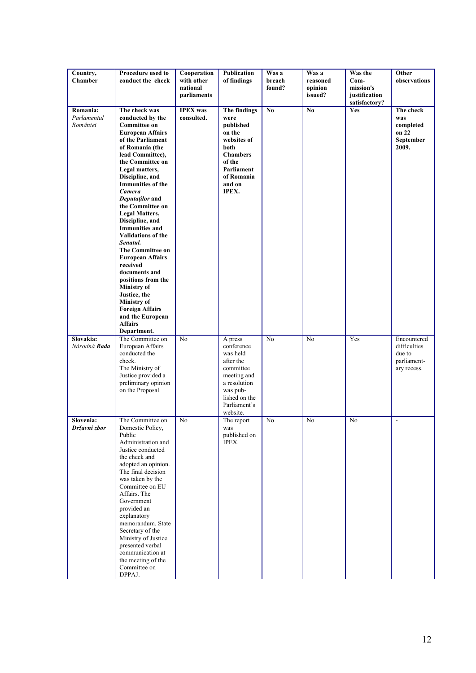| Country,<br><b>Chamber</b>          | Procedure used to<br>conduct the check                                                                                                                                                                                                                                                                                                                                                                                                                                                                                                                                                                                                    | Cooperation<br>with other<br>national<br>parliaments | Publication<br>of findings                                                                                                                          | Was a<br>breach<br>found? | Was a<br>reasoned<br>opinion<br>issued? | Was the<br>$Com-$<br>mission's<br>justification<br>satisfactory? | Other<br>observations                                               |
|-------------------------------------|-------------------------------------------------------------------------------------------------------------------------------------------------------------------------------------------------------------------------------------------------------------------------------------------------------------------------------------------------------------------------------------------------------------------------------------------------------------------------------------------------------------------------------------------------------------------------------------------------------------------------------------------|------------------------------------------------------|-----------------------------------------------------------------------------------------------------------------------------------------------------|---------------------------|-----------------------------------------|------------------------------------------------------------------|---------------------------------------------------------------------|
| Romania:<br>Parlamentul<br>României | The check was<br>conducted by the<br><b>Committee on</b><br><b>European Affairs</b><br>of the Parliament<br>of Romania (the<br>lead Committee),<br>the Committee on<br>Legal matters,<br>Discipline, and<br><b>Immunities of the</b><br>Camera<br>Deputaților and<br>the Committee on<br>Legal Matters,<br>Discipline, and<br><b>Immunities and</b><br><b>Validations of the</b><br>Senatul.<br>The Committee on<br><b>European Affairs</b><br>received<br>documents and<br>positions from the<br><b>Ministry</b> of<br>Justice, the<br><b>Ministry</b> of<br><b>Foreign Affairs</b><br>and the European<br><b>Affairs</b><br>Department. | <b>IPEX</b> was<br>consulted.                        | The findings<br>were<br>published<br>on the<br>websites of<br>both<br><b>Chambers</b><br>of the<br>Parliament<br>of Romania<br>and on<br>IPEX.      | No.                       | N <sub>0</sub>                          | Yes                                                              | The check<br>was<br>completed<br>on 22<br>September<br>2009.        |
| Slovakia:<br>Národná <b>Rada</b>    | The Committee on<br>European Affairs<br>conducted the<br>check.<br>The Ministry of<br>Justice provided a<br>preliminary opinion<br>on the Proposal.                                                                                                                                                                                                                                                                                                                                                                                                                                                                                       | N <sub>0</sub>                                       | A press<br>conference<br>was held<br>after the<br>committee<br>meeting and<br>a resolution<br>was pub-<br>lished on the<br>Parliament's<br>website. | N <sub>0</sub>            | N <sub>0</sub>                          | Yes                                                              | Encountered<br>difficulties<br>due to<br>parliament-<br>ary recess. |
| Slovenia:<br>Državni zbor           | The Committee on<br>Domestic Policy,<br>Public<br>Administration and<br>Justice conducted<br>the check and<br>adopted an opinion.<br>The final decision<br>was taken by the<br>Committee on EU<br>Affairs. The<br>Government<br>provided an<br>explanatory<br>memorandum. State<br>Secretary of the<br>Ministry of Justice<br>presented verbal<br>communication at<br>the meeting of the<br>Committee on<br>DPPAJ.                                                                                                                                                                                                                        | N <sub>0</sub>                                       | The report<br>was<br>published on<br>IPEX.                                                                                                          | No                        | No                                      | No                                                               | $\sim$                                                              |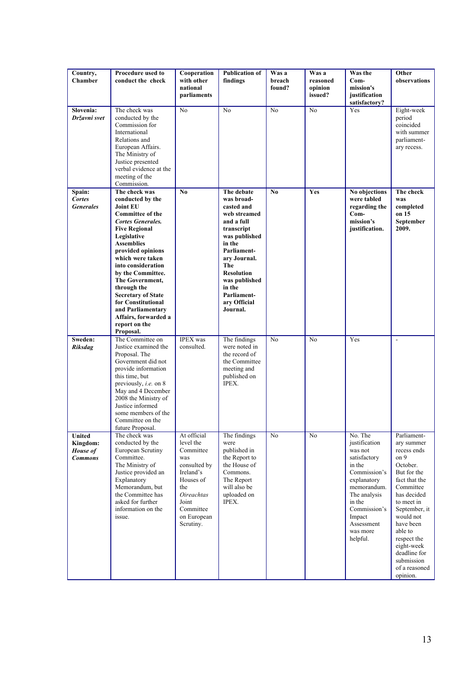| Country,<br><b>Chamber</b>                              | Procedure used to<br>conduct the check                                                                                                                                                                                                                                                                                                                                                                                      | Cooperation<br>with other<br>national<br>parliaments                                                                                                                 | <b>Publication of</b><br>findings                                                                                                                                                                                                              | Was a<br>breach<br>found? | Was a<br>reasoned<br>opinion<br>issued? | Was the<br>$Com-$<br>mission's<br>justification<br>satisfactory?                                                                                                                                      | Other<br>observations                                                                                                                                                                                                                                                                |
|---------------------------------------------------------|-----------------------------------------------------------------------------------------------------------------------------------------------------------------------------------------------------------------------------------------------------------------------------------------------------------------------------------------------------------------------------------------------------------------------------|----------------------------------------------------------------------------------------------------------------------------------------------------------------------|------------------------------------------------------------------------------------------------------------------------------------------------------------------------------------------------------------------------------------------------|---------------------------|-----------------------------------------|-------------------------------------------------------------------------------------------------------------------------------------------------------------------------------------------------------|--------------------------------------------------------------------------------------------------------------------------------------------------------------------------------------------------------------------------------------------------------------------------------------|
| Slovenia:<br>Državni svet                               | The check was<br>conducted by the<br>Commission for<br>International<br>Relations and<br>European Affairs.<br>The Ministry of<br>Justice presented<br>verbal evidence at the<br>meeting of the<br>Commission.                                                                                                                                                                                                               | N <sub>0</sub>                                                                                                                                                       | N <sub>0</sub>                                                                                                                                                                                                                                 | N <sub>o</sub>            | $\overline{No}$                         | Yes                                                                                                                                                                                                   | Eight-week<br>period<br>coincided<br>with summer<br>parliament-<br>ary recess.                                                                                                                                                                                                       |
| Spain:<br><b>Cortes</b><br><b>Generales</b>             | The check was<br>conducted by the<br><b>Joint EU</b><br><b>Committee of the</b><br><b>Cortes Generales.</b><br><b>Five Regional</b><br>Legislative<br><b>Assemblies</b><br>provided opinions<br>which were taken<br>into consideration<br>by the Committee.<br>The Government,<br>through the<br><b>Secretary of State</b><br>for Constitutional<br>and Parliamentary<br>Affairs, forwarded a<br>report on the<br>Proposal. | N <sub>0</sub>                                                                                                                                                       | The debate<br>was broad-<br>casted and<br>web streamed<br>and a full<br>transcript<br>was published<br>in the<br>Parliament-<br>ary Journal.<br>The<br><b>Resolution</b><br>was published<br>in the<br>Parliament-<br>ary Official<br>Journal. | No                        | Yes                                     | No objections<br>were tabled<br>regarding the<br>Com-<br>mission's<br>justification.                                                                                                                  | The check<br>was<br>completed<br>on 15<br>September<br>2009.                                                                                                                                                                                                                         |
| Sweden:<br><b>Riksdag</b>                               | The Committee on<br>Justice examined the<br>Proposal. The<br>Government did not<br>provide information<br>this time, but<br>previously, <i>i.e.</i> on $8$<br>May and 4 December<br>2008 the Ministry of<br>Justice informed<br>some members of the<br>Committee on the<br>future Proposal.                                                                                                                                 | <b>IPEX</b> was<br>consulted.                                                                                                                                        | The findings<br>were noted in<br>the record of<br>the Committee<br>meeting and<br>published on<br>IPEX.                                                                                                                                        | $\overline{No}$           | $\overline{No}$                         | Yes                                                                                                                                                                                                   | $\overline{\phantom{a}}$                                                                                                                                                                                                                                                             |
| <b>United</b><br>Kingdom:<br>House of<br><b>Commons</b> | The check was<br>conducted by the<br>European Scrutiny<br>Committee.<br>The Ministry of<br>Justice provided an<br>Explanatory<br>Memorandum, but<br>the Committee has<br>asked for further<br>information on the<br>issue.                                                                                                                                                                                                  | At official<br>level the<br>Committee<br>was<br>consulted by<br>Ireland's<br>Houses of<br>the<br><b>Oireachtas</b><br>Joint<br>Committee<br>on European<br>Scrutiny. | The findings<br>were<br>published in<br>the Report to<br>the House of<br>Commons.<br>The Report<br>will also be<br>uploaded on<br>IPEX.                                                                                                        | No                        | $\overline{No}$                         | No. The<br>justification<br>was not<br>satisfactory<br>in the<br>Commission's<br>explanatory<br>memorandum.<br>The analysis<br>in the<br>Commission's<br>Impact<br>Assessment<br>was more<br>helpful. | Parliament-<br>ary summer<br>recess ends<br>on 9<br>October.<br>But for the<br>fact that the<br>Committee<br>has decided<br>to meet in<br>September, it<br>would not<br>have been<br>able to<br>respect the<br>eight-week<br>deadline for<br>submission<br>of a reasoned<br>opinion. |